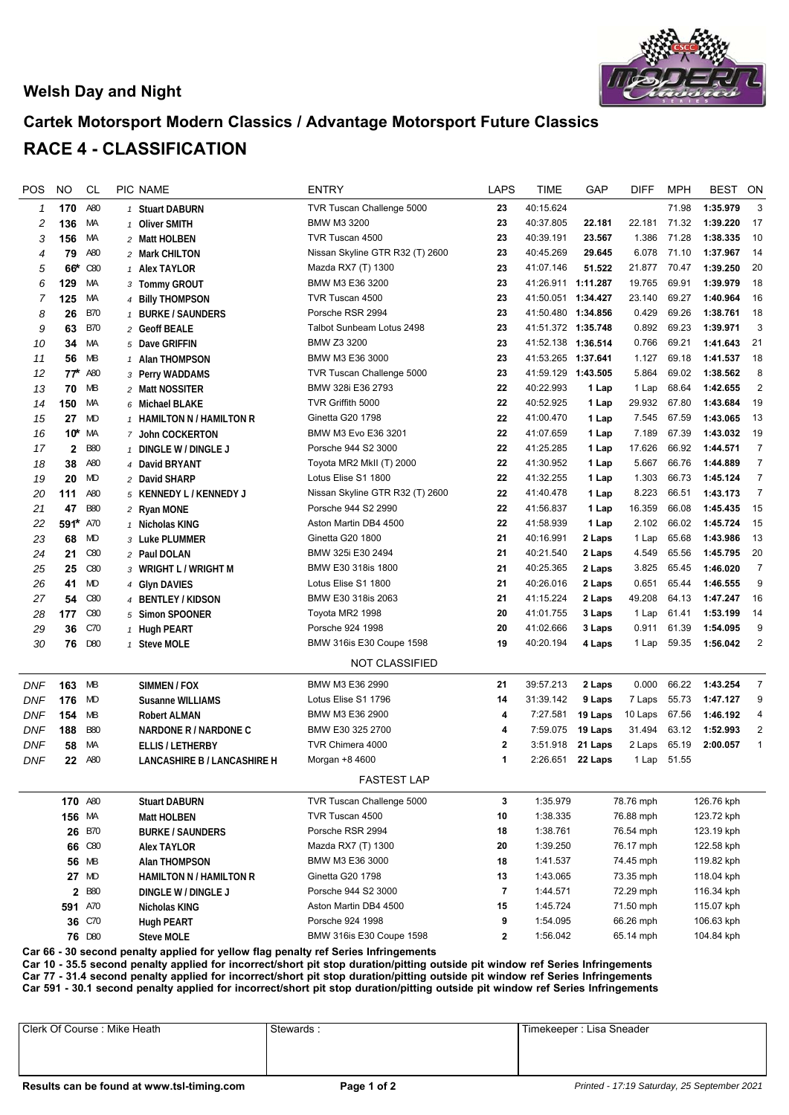## **Welsh Day and Night**



## **Cartek Motorsport Modern Classics / Advantage Motorsport Future Classics RACE 4 - CLASSIFICATION**

| POS        | <b>NO</b>    | <b>CL</b>  | PIC NAME                                                     | <b>ENTRY</b>                    | <b>LAPS</b>  | <b>TIME</b>        | GAP       | <b>DIFF</b>             | <b>MPH</b> | <b>BEST</b> | ON               |
|------------|--------------|------------|--------------------------------------------------------------|---------------------------------|--------------|--------------------|-----------|-------------------------|------------|-------------|------------------|
| 1          | 170          | A80        | 1 Stuart DABURN                                              | TVR Tuscan Challenge 5000       | 23           | 40:15.624          |           |                         | 71.98      | 1:35.979    | 3                |
| 2          | 136          | МA         | 1 Oliver SMITH                                               | BMW M3 3200                     | 23           | 40:37.805          | 22.181    | 22.181                  | 71.32      | 1:39.220    | 17               |
| 3          | 156          | МA         | 2 Matt HOLBEN                                                | TVR Tuscan 4500                 | 23           | 40:39.191          | 23.567    | 1.386                   | 71.28      | 1:38.335    | 10               |
| 4          | 79           | A80        | 2 Mark CHILTON                                               | Nissan Skyline GTR R32 (T) 2600 | 23           | 40:45.269          | 29.645    | 6.078                   | 71.10      | 1:37.967    | 14               |
| 5          | 66*          | C80        | 1 Alex TAYLOR                                                | Mazda RX7 (T) 1300              | 23           | 41:07.146          | 51.522    | 21.877                  | 70.47      | 1:39.250    | 20               |
| 6          | 129          | МA         | 3 Tommy GROUT                                                | BMW M3 E36 3200                 | 23           | 41:26.911 1:11.287 |           | 19.765                  | 69.91      | 1:39.979    | 18               |
| 7          | 125          | МA         | 4 Billy THOMPSON                                             | TVR Tuscan 4500                 | 23           | 41:50.051 1:34.427 |           | 23.140                  | 69.27      | 1:40.964    | 16               |
| 8          | 26           | <b>B70</b> | 1 BURKE / SAUNDERS                                           | Porsche RSR 2994                | 23           | 41:50.480 1:34.856 |           | 0.429                   | 69.26      | 1:38.761    | 18               |
| 9          | 63           | <b>B70</b> | 2 Geoff BEALE                                                | Talbot Sunbeam Lotus 2498       | 23           | 41:51.372 1:35.748 |           | 0.892                   | 69.23      | 1:39.971    | $\sqrt{3}$       |
| 10         | 34           | МA         | 5 Dave GRIFFIN                                               | BMW Z3 3200                     | 23           | 41:52.138 1:36.514 |           | 0.766                   | 69.21      | 1:41.643    | 21               |
| 11         | 56           | MB         | 1 Alan THOMPSON                                              | BMW M3 E36 3000                 | 23           | 41:53.265 1:37.641 |           | 1.127                   | 69.18      | 1:41.537    | 18               |
| 12         | $77^{\star}$ | A80        | 3 Perry WADDAMS                                              | TVR Tuscan Challenge 5000       | 23           | 41:59.129 1:43.505 |           | 5.864                   | 69.02      | 1:38.562    | 8                |
| 13         | 70           | MB         | 2 Matt NOSSITER                                              | BMW 328i E36 2793               | 22           | 40:22.993          | 1 Lap     | 1 Lap                   | 68.64      | 1:42.655    | $\overline{2}$   |
| 14         | 150          | МA         | 6 Michael BLAKE                                              | TVR Griffith 5000               | 22           | 40:52.925          | 1 Lap     | 29.932                  | 67.80      | 1:43.684    | 19               |
| 15         | 27           | MD         | 1 HAMILTON N / HAMILTON R                                    | Ginetta G20 1798                | 22           | 41:00.470          | 1 Lap     | 7.545                   | 67.59      | 1:43.065    | 13               |
| 16         | 10*          | МA         | 7 John COCKERTON                                             | BMW M3 Evo E36 3201             | 22           | 41:07.659          | 1 Lap     | 7.189                   | 67.39      | 1:43.032    | 19               |
| 17         | 2            | <b>B80</b> | 1 DINGLE W / DINGLE J                                        | Porsche 944 S2 3000             | 22           | 41:25.285          | 1 Lap     | 17.626                  | 66.92      | 1:44.571    | $\overline{7}$   |
| 18         | 38           | A80        | 4 David BRYANT                                               | Toyota MR2 MkII (T) 2000        | 22           | 41:30.952          | 1 Lap     | 5.667                   | 66.76      | 1:44.889    | $\overline{7}$   |
| 19         | 20           | MD         | 2 David SHARP                                                | Lotus Elise S1 1800             | 22           | 41:32.255          | 1 Lap     | 1.303                   | 66.73      | 1:45.124    | $\boldsymbol{7}$ |
| 20         | 111          | A80        | 5 KENNEDY L / KENNEDY J                                      | Nissan Skyline GTR R32 (T) 2600 | 22           | 41:40.478          | 1 Lap     | 8.223                   | 66.51      | 1:43.173    | $\overline{7}$   |
| 21         | 47           | <b>B80</b> | 2 Ryan MONE                                                  | Porsche 944 S2 2990             | 22           | 41:56.837          | 1 Lap     | 16.359                  | 66.08      | 1:45.435    | 15               |
| 22         | 591*         | A70        | 1 Nicholas KING                                              | Aston Martin DB4 4500           | 22           | 41:58.939          | 1 Lap     | 2.102                   | 66.02      | 1:45.724    | 15               |
| 23         | 68           | MD         | 3 Luke PLUMMER                                               | Ginetta G20 1800                | 21           | 40:16.991          | 2 Laps    | 1 Lap                   | 65.68      | 1:43.986    | 13               |
| 24         | 21           | C80        | 2 Paul DOLAN                                                 | BMW 325i E30 2494               | 21           | 40:21.540          | 2 Laps    | 4.549                   | 65.56      | 1:45.795    | 20               |
| 25         | 25           | C80        | 3 WRIGHT L / WRIGHT M                                        | BMW E30 318is 1800              | 21           | 40:25.365          | 2 Laps    | 3.825                   | 65.45      | 1:46.020    | $\boldsymbol{7}$ |
| 26         | 41           | <b>MD</b>  | 4 Glyn DAVIES                                                | Lotus Elise S1 1800             | 21           | 40:26.016          | 2 Laps    | 0.651                   | 65.44      | 1:46.555    | 9                |
| 27         | 54           | C80        | 4 BENTLEY / KIDSON                                           | BMW E30 318is 2063              | 21           | 41:15.224          | 2 Laps    | 49.208                  | 64.13      | 1:47.247    | 16               |
| 28         | 177          | C80        | 5 Simon SPOONER                                              | Toyota MR2 1998                 | 20           | 41:01.755          | 3 Laps    | 1 Lap                   | 61.41      | 1:53.199    | 14               |
| 29         | 36           | C70        | 1 Hugh PEART                                                 | Porsche 924 1998                | 20           | 41:02.666          | 3 Laps    | 0.911                   | 61.39      | 1:54.095    | 9                |
| 30         | 76           | D80        | 1 Steve MOLE                                                 | BMW 316is E30 Coupe 1598        | 19           | 40:20.194          | 4 Laps    | 1 Lap                   | 59.35      | 1:56.042    | $\sqrt{2}$       |
|            |              |            |                                                              | <b>NOT CLASSIFIED</b>           |              |                    |           |                         |            |             |                  |
| DNF        | 163          | МB         | SIMMEN / FOX                                                 | BMW M3 E36 2990                 | 21           | 39:57.213          | 2 Laps    | 0.000                   | 66.22      | 1:43.254    | $\overline{7}$   |
| <b>DNF</b> | 176          | MD         | <b>Susanne WILLIAMS</b>                                      | Lotus Elise S1 1796             | 14           | 31:39.142          | 9 Laps    | 7 Laps                  | 55.73      | 1:47.127    | 9                |
| <b>DNF</b> | 154          | MB         | <b>Robert ALMAN</b>                                          | BMW M3 E36 2900                 | 4            | 7:27.581           | 19 Laps   | 10 Laps                 | 67.56      | 1:46.192    | 4                |
| <b>DNF</b> | 188          | <b>B80</b> | NARDONE R / NARDONE C                                        | BMW E30 325 2700                | 4            | 7:59.075           | 19 Laps   | 31.494                  | 63.12      | 1:52.993    | 2                |
| <b>DNF</b> | 58           | МA         | <b>ELLIS / LETHERBY</b>                                      | TVR Chimera 4000                | $\mathbf{2}$ | 3:51.918           | 21 Laps   | 2 Laps                  | 65.19      | 2:00.057    | $\mathbf{1}$     |
| <b>DNF</b> | 22           | A80        | LANCASHIRE B / LANCASHIRE H                                  | Morgan +8 4600                  | 1            | 2:26.651           | 22 Laps   | 1 Lap                   | 51.55      |             |                  |
|            |              |            |                                                              | <b>FASTEST LAP</b>              |              |                    |           |                         |            |             |                  |
|            | 170 A80      |            | <b>Stuart DABURN</b>                                         | TVR Tuscan Challenge 5000       | 3            | 1:35.979           |           | 78.76 mph               | 126.76 kph |             |                  |
|            | 156 MA       |            | Matt HOLBEN                                                  | TVR Tuscan 4500                 | 10           | 1:38.335           |           | 76.88 mph               | 123.72 kph |             |                  |
|            |              | 26 B70     | <b>BURKE / SAUNDERS</b>                                      | Porsche RSR 2994                | 18           | 1:38.761           |           | 76.54 mph               | 123.19 kph |             |                  |
|            |              | 66 C80     | <b>Alex TAYLOR</b>                                           | Mazda RX7 (T) 1300              | 20           | 1:39.250           |           | 76.17 mph               | 122.58 kph |             |                  |
|            |              | 56 MB      | Alan THOMPSON                                                | BMW M3 E36 3000                 | 18           | 1:41.537           |           | 119.82 kph<br>74.45 mph |            |             |                  |
|            |              | 27 MD      | <b>HAMILTON N / HAMILTON R</b>                               | Ginetta G20 1798                | 13           | 1:43.065           | 73.35 mph |                         |            | 118.04 kph  |                  |
|            |              | 2 B80      | DINGLE W / DINGLE J                                          | Porsche 944 S2 3000             | 7            | 1:44.571           |           | 72.29 mph               |            | 116.34 kph  |                  |
|            | 591 A70      |            | Nicholas KING                                                | Aston Martin DB4 4500           | 15           | 1:45.724           |           | 71.50 mph               |            | 115.07 kph  |                  |
|            |              | 36 C70     | <b>Hugh PEART</b>                                            | Porsche 924 1998                | 9            | 1:54.095           |           | 66.26 mph               |            | 106.63 kph  |                  |
|            |              | 76 D80     | <b>Steve MOLE</b>                                            | BMW 316is E30 Coupe 1598        | $\mathbf{2}$ | 1:56.042           |           | 65.14 mph               |            | 104.84 kph  |                  |
|            | o٥           |            | the annitod far uallaw flag nonolty not Corion Infringements |                                 |              |                    |           |                         |            |             |                  |

**Car 66 - 30 second penalty applied for yellow flag penalty ref Series Infringements**

**Car 10 - 35.5 second penalty applied for incorrect/short pit stop duration/pitting outside pit window ref Series Infringements Car 77 - 31.4 second penalty applied for incorrect/short pit stop duration/pitting outside pit window ref Series Infringements**

**Car 591 - 30.1 second penalty applied for incorrect/short pit stop duration/pitting outside pit window ref Series Infringements**

Clerk Of Course : Mike Heath Stewards : Timekeeper : Lisa Sneader | Timekeeper : Lisa Sneader